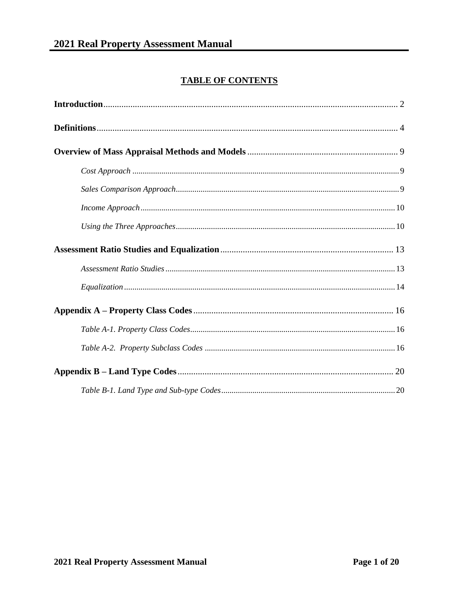### **TABLE OF CONTENTS**

<span id="page-0-0"></span>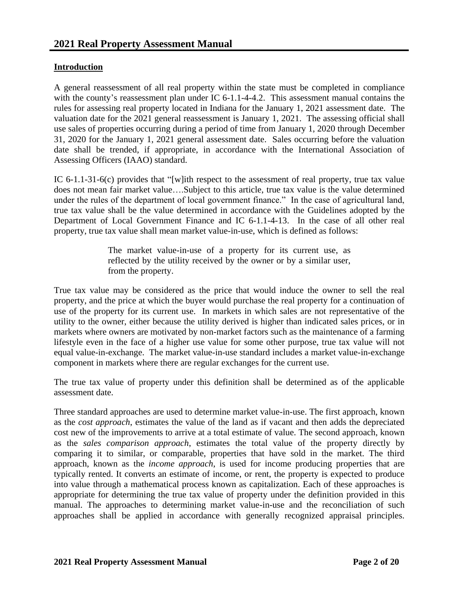#### <span id="page-1-0"></span>**Introduction**

A general reassessment of all real property within the state must be completed in compliance with the county's reassessment plan under IC 6-1.1-4-4.2. This assessment manual contains the rules for assessing real property located in Indiana for the January 1, 2021 assessment date. The valuation date for the 2021 general reassessment is January 1, 2021. The assessing official shall use sales of properties occurring during a period of time from January 1, 2020 through December 31, 2020 for the January 1, 2021 general assessment date. Sales occurring before the valuation date shall be trended, if appropriate, in accordance with the International Association of Assessing Officers (IAAO) standard.

IC 6-1.1-31-6(c) provides that "[w]ith respect to the assessment of real property, true tax value does not mean fair market value….Subject to this article, true tax value is the value determined under the rules of the department of local government finance." In the case of agricultural land, true tax value shall be the value determined in accordance with the Guidelines adopted by the Department of Local Government Finance and IC 6-1.1-4-13. In the case of all other real property, true tax value shall mean market value-in-use, which is defined as follows:

> The market value-in-use of a property for its current use, as reflected by the utility received by the owner or by a similar user, from the property.

True tax value may be considered as the price that would induce the owner to sell the real property, and the price at which the buyer would purchase the real property for a continuation of use of the property for its current use. In markets in which sales are not representative of the utility to the owner, either because the utility derived is higher than indicated sales prices, or in markets where owners are motivated by non-market factors such as the maintenance of a farming lifestyle even in the face of a higher use value for some other purpose, true tax value will not equal value-in-exchange. The market value-in-use standard includes a market value-in-exchange component in markets where there are regular exchanges for the current use.

The true tax value of property under this definition shall be determined as of the applicable assessment date.

Three standard approaches are used to determine market value-in-use. The first approach, known as the *cost approach*, estimates the value of the land as if vacant and then adds the depreciated cost new of the improvements to arrive at a total estimate of value. The second approach, known as the *sales comparison approach*, estimates the total value of the property directly by comparing it to similar, or comparable, properties that have sold in the market. The third approach, known as the *income approach*, is used for income producing properties that are typically rented. It converts an estimate of income, or rent, the property is expected to produce into value through a mathematical process known as capitalization. Each of these approaches is appropriate for determining the true tax value of property under the definition provided in this manual. The approaches to determining market value-in-use and the reconciliation of such approaches shall be applied in accordance with generally recognized appraisal principles.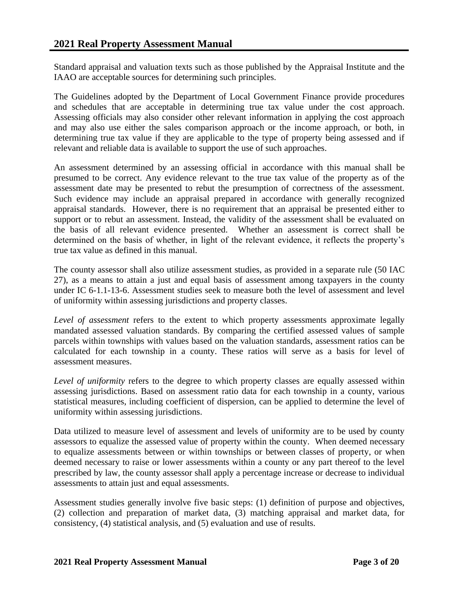Standard appraisal and valuation texts such as those published by the Appraisal Institute and the IAAO are acceptable sources for determining such principles.

The Guidelines adopted by the Department of Local Government Finance provide procedures and schedules that are acceptable in determining true tax value under the cost approach. Assessing officials may also consider other relevant information in applying the cost approach and may also use either the sales comparison approach or the income approach, or both, in determining true tax value if they are applicable to the type of property being assessed and if relevant and reliable data is available to support the use of such approaches.

An assessment determined by an assessing official in accordance with this manual shall be presumed to be correct. Any evidence relevant to the true tax value of the property as of the assessment date may be presented to rebut the presumption of correctness of the assessment. Such evidence may include an appraisal prepared in accordance with generally recognized appraisal standards. However, there is no requirement that an appraisal be presented either to support or to rebut an assessment. Instead, the validity of the assessment shall be evaluated on the basis of all relevant evidence presented. Whether an assessment is correct shall be determined on the basis of whether, in light of the relevant evidence, it reflects the property's true tax value as defined in this manual.

The county assessor shall also utilize assessment studies, as provided in a separate rule (50 IAC 27), as a means to attain a just and equal basis of assessment among taxpayers in the county under IC 6-1.1-13-6. Assessment studies seek to measure both the level of assessment and level of uniformity within assessing jurisdictions and property classes.

*Level of assessment* refers to the extent to which property assessments approximate legally mandated assessed valuation standards. By comparing the certified assessed values of sample parcels within townships with values based on the valuation standards, assessment ratios can be calculated for each township in a county. These ratios will serve as a basis for level of assessment measures.

*Level of uniformity* refers to the degree to which property classes are equally assessed within assessing jurisdictions. Based on assessment ratio data for each township in a county, various statistical measures, including coefficient of dispersion, can be applied to determine the level of uniformity within assessing jurisdictions.

Data utilized to measure level of assessment and levels of uniformity are to be used by county assessors to equalize the assessed value of property within the county. When deemed necessary to equalize assessments between or within townships or between classes of property, or when deemed necessary to raise or lower assessments within a county or any part thereof to the level prescribed by law, the county assessor shall apply a percentage increase or decrease to individual assessments to attain just and equal assessments.

Assessment studies generally involve five basic steps: (1) definition of purpose and objectives, (2) collection and preparation of market data, (3) matching appraisal and market data, for consistency, (4) statistical analysis, and (5) evaluation and use of results.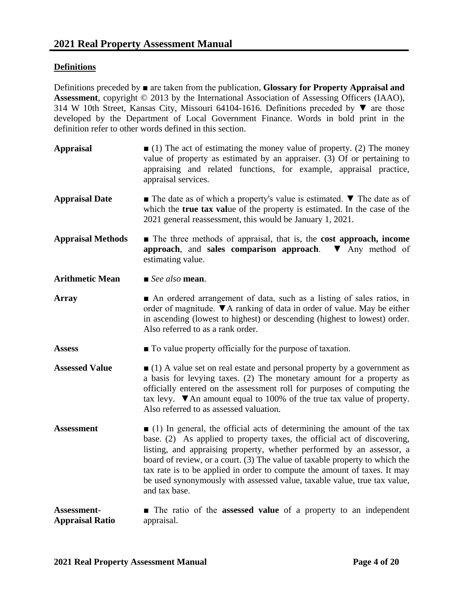#### <span id="page-3-0"></span>**Definitions**

Definitions preceded by ■ are taken from the publication, **Glossary for Property Appraisal and Assessment**, copyright © 2013 by the International Association of Assessing Officers (IAAO), 314 W 10th Street, Kansas City, Missouri 64104-1616. Definitions preceded by ▼ are those developed by the Department of Local Government Finance. Words in bold print in the definition refer to other words defined in this section.

- **Appraisal** (1) The act of estimating the money value of property. (2) The money value of property as estimated by an appraiser. (3) Of or pertaining to appraising and related functions, for example, appraisal practice, appraisal services.
- Appraisal Date **■** The date as of which a property's value is estimated. **▼** The date as of which the **true tax val**ue of the property is estimated. In the case of the 2021 general reassessment, this would be January 1, 2021.
- **Appraisal Methods** The three methods of appraisal, that is, the **cost approach, income approach**, and **sales comparison approach**. ▼ Any method of estimating value.

**Arithmetic Mean** ■ *See also* **mean**.

- **Array ■** An ordered arrangement of data, such as a listing of sales ratios, in order of magnitude. ▼A ranking of data in order of value. May be either in ascending (lowest to highest) or descending (highest to lowest) order. Also referred to as a rank order.
- **Assess a T** To value property officially for the purpose of taxation.
- **Assessed Value** (1) A value set on real estate and personal property by a government as a basis for levying taxes. (2) The monetary amount for a property as officially entered on the assessment roll for purposes of computing the tax levy.  $\nabla$  An amount equal to 100% of the true tax value of property. Also referred to as assessed valuation.
- **Assessment** (1) In general, the official acts of determining the amount of the tax base. (2) As applied to property taxes, the official act of discovering, listing, and appraising property, whether performed by an assessor, a board of review, or a court. (3) The value of taxable property to which the tax rate is to be applied in order to compute the amount of taxes. It may be used synonymously with assessed value, taxable value, true tax value, and tax base.

#### **Assessment-Appraisal Ratio** ■ The ratio of the **assessed value** of a property to an independent appraisal.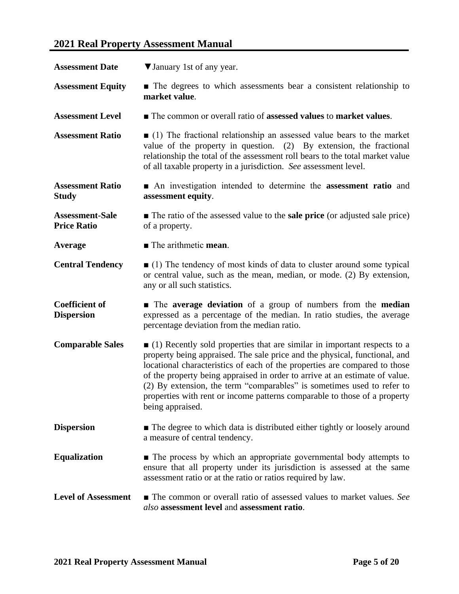# **2021 Real Property Assessment Manual**

| <b>Assessment Date</b>                       | ▼ January 1st of any year.                                                                                                                                                                                                                                                                                                                                                                                                                                                                            |
|----------------------------------------------|-------------------------------------------------------------------------------------------------------------------------------------------------------------------------------------------------------------------------------------------------------------------------------------------------------------------------------------------------------------------------------------------------------------------------------------------------------------------------------------------------------|
| <b>Assessment Equity</b>                     | • The degrees to which assessments bear a consistent relationship to<br>market value.                                                                                                                                                                                                                                                                                                                                                                                                                 |
| <b>Assessment Level</b>                      | ■ The common or overall ratio of assessed values to market values.                                                                                                                                                                                                                                                                                                                                                                                                                                    |
| <b>Assessment Ratio</b>                      | $\Box$ (1) The fractional relationship an assessed value bears to the market<br>value of the property in question. $(2)$ By extension, the fractional<br>relationship the total of the assessment roll bears to the total market value<br>of all taxable property in a jurisdiction. See assessment level.                                                                                                                                                                                            |
| <b>Assessment Ratio</b><br><b>Study</b>      | • An investigation intended to determine the assessment ratio and<br>assessment equity.                                                                                                                                                                                                                                                                                                                                                                                                               |
| <b>Assessment-Sale</b><br><b>Price Ratio</b> | $\blacksquare$ The ratio of the assessed value to the <b>sale price</b> (or adjusted sale price)<br>of a property.                                                                                                                                                                                                                                                                                                                                                                                    |
| Average                                      | The arithmetic mean.                                                                                                                                                                                                                                                                                                                                                                                                                                                                                  |
| <b>Central Tendency</b>                      | $(1)$ The tendency of most kinds of data to cluster around some typical<br>or central value, such as the mean, median, or mode. (2) By extension,<br>any or all such statistics.                                                                                                                                                                                                                                                                                                                      |
| <b>Coefficient of</b><br><b>Dispersion</b>   | • The average deviation of a group of numbers from the median<br>expressed as a percentage of the median. In ratio studies, the average<br>percentage deviation from the median ratio.                                                                                                                                                                                                                                                                                                                |
| <b>Comparable Sales</b>                      | $\Box$ (1) Recently sold properties that are similar in important respects to a<br>property being appraised. The sale price and the physical, functional, and<br>locational characteristics of each of the properties are compared to those<br>of the property being appraised in order to arrive at an estimate of value.<br>(2) By extension, the term "comparables" is sometimes used to refer to<br>properties with rent or income patterns comparable to those of a property<br>being appraised. |
| <b>Dispersion</b>                            | • The degree to which data is distributed either tightly or loosely around<br>a measure of central tendency.                                                                                                                                                                                                                                                                                                                                                                                          |
| <b>Equalization</b>                          | • The process by which an appropriate governmental body attempts to<br>ensure that all property under its jurisdiction is assessed at the same<br>assessment ratio or at the ratio or ratios required by law.                                                                                                                                                                                                                                                                                         |
| <b>Level of Assessment</b>                   | • The common or overall ratio of assessed values to market values. See<br>also assessment level and assessment ratio.                                                                                                                                                                                                                                                                                                                                                                                 |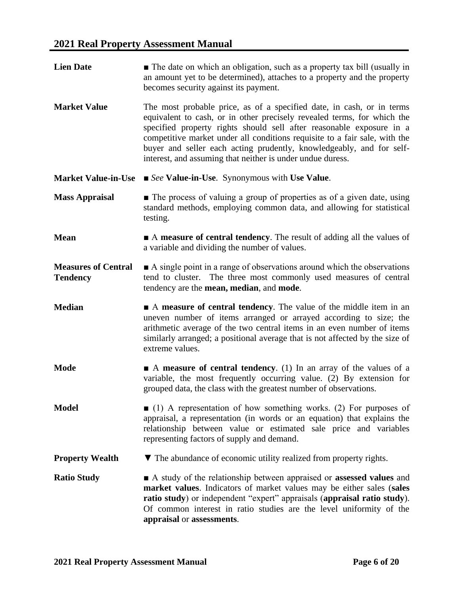**Lien Date** ■ The date on which an obligation, such as a property tax bill (usually in an amount yet to be determined), attaches to a property and the property becomes security against its payment. **Market Value** The most probable price, as of a specified date, in cash, or in terms equivalent to cash, or in other precisely revealed terms, for which the specified property rights should sell after reasonable exposure in a competitive market under all conditions requisite to a fair sale, with the buyer and seller each acting prudently, knowledgeably, and for selfinterest, and assuming that neither is under undue duress. **Market Value-in-Use** ■ *See* **Value-in-Use**. Synonymous with **Use Value**. **Mass Appraisal** ■ The process of valuing a group of properties as of a given date, using standard methods, employing common data, and allowing for statistical testing. **Mean** ■ A **measure of central tendency**. The result of adding all the values of a variable and dividing the number of values. **Measures of Central Tendency** ■ A single point in a range of observations around which the observations tend to cluster. The three most commonly used measures of central tendency are the **mean, median**, and **mode**. **Median** ■ A **measure of central tendency**. The value of the middle item in an uneven number of items arranged or arrayed according to size; the arithmetic average of the two central items in an even number of items similarly arranged; a positional average that is not affected by the size of extreme values. **Mode** ■ A **measure of central tendency**. (1) In an array of the values of a variable, the most frequently occurring value. (2) By extension for grouped data, the class with the greatest number of observations. **Model** ■ (1) A representation of how something works. (2) For purposes of appraisal, a representation (in words or an equation) that explains the relationship between value or estimated sale price and variables representing factors of supply and demand. **Property Wealth ▼** The abundance of economic utility realized from property rights. **Ratio Study** ■ A study of the relationship between appraised or **assessed values** and **market values**. Indicators of market values may be either sales (**sales ratio study**) or independent "expert" appraisals (**appraisal ratio study**). Of common interest in ratio studies are the level uniformity of the **appraisal** or **assessments**.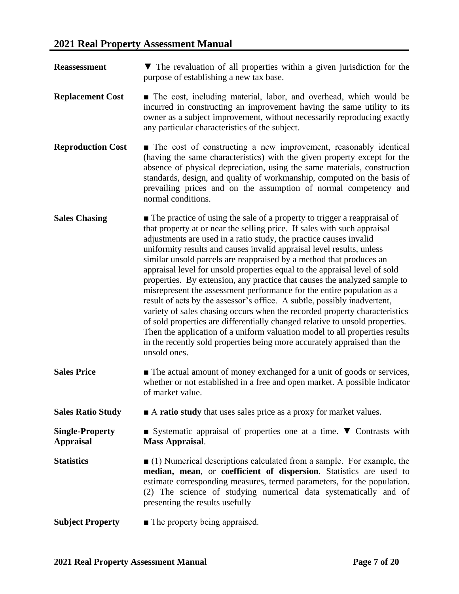| <b>Reassessment</b>                        | $\blacktriangledown$ The revaluation of all properties within a given jurisdiction for the<br>purpose of establishing a new tax base.                                                                                                                                                                                                                                                                                                                                                                                                                                                                                                                                                                                                                                                                                                                                                                                                                                                                                                  |
|--------------------------------------------|----------------------------------------------------------------------------------------------------------------------------------------------------------------------------------------------------------------------------------------------------------------------------------------------------------------------------------------------------------------------------------------------------------------------------------------------------------------------------------------------------------------------------------------------------------------------------------------------------------------------------------------------------------------------------------------------------------------------------------------------------------------------------------------------------------------------------------------------------------------------------------------------------------------------------------------------------------------------------------------------------------------------------------------|
| <b>Replacement Cost</b>                    | • The cost, including material, labor, and overhead, which would be<br>incurred in constructing an improvement having the same utility to its<br>owner as a subject improvement, without necessarily reproducing exactly<br>any particular characteristics of the subject.                                                                                                                                                                                                                                                                                                                                                                                                                                                                                                                                                                                                                                                                                                                                                             |
| <b>Reproduction Cost</b>                   | • The cost of constructing a new improvement, reasonably identical<br>(having the same characteristics) with the given property except for the<br>absence of physical depreciation, using the same materials, construction<br>standards, design, and quality of workmanship, computed on the basis of<br>prevailing prices and on the assumption of normal competency and<br>normal conditions.                                                                                                                                                                                                                                                                                                                                                                                                                                                                                                                                                                                                                                        |
| <b>Sales Chasing</b>                       | • The practice of using the sale of a property to trigger a reappraisal of<br>that property at or near the selling price. If sales with such appraisal<br>adjustments are used in a ratio study, the practice causes invalid<br>uniformity results and causes invalid appraisal level results, unless<br>similar unsold parcels are reappraised by a method that produces an<br>appraisal level for unsold properties equal to the appraisal level of sold<br>properties. By extension, any practice that causes the analyzed sample to<br>misrepresent the assessment performance for the entire population as a<br>result of acts by the assessor's office. A subtle, possibly inadvertent,<br>variety of sales chasing occurs when the recorded property characteristics<br>of sold properties are differentially changed relative to unsold properties.<br>Then the application of a uniform valuation model to all properties results<br>in the recently sold properties being more accurately appraised than the<br>unsold ones. |
| <b>Sales Price</b>                         | • The actual amount of money exchanged for a unit of goods or services,<br>whether or not established in a free and open market. A possible indicator<br>of market value.                                                                                                                                                                                                                                                                                                                                                                                                                                                                                                                                                                                                                                                                                                                                                                                                                                                              |
| <b>Sales Ratio Study</b>                   | A ratio study that uses sales price as a proxy for market values.                                                                                                                                                                                                                                                                                                                                                                                                                                                                                                                                                                                                                                                                                                                                                                                                                                                                                                                                                                      |
| <b>Single-Property</b><br><b>Appraisal</b> | Systematic appraisal of properties one at a time. $\nabla$ Contrasts with<br><b>Mass Appraisal.</b>                                                                                                                                                                                                                                                                                                                                                                                                                                                                                                                                                                                                                                                                                                                                                                                                                                                                                                                                    |
| <b>Statistics</b>                          | $(1)$ Numerical descriptions calculated from a sample. For example, the<br>median, mean, or coefficient of dispersion. Statistics are used to<br>estimate corresponding measures, termed parameters, for the population.<br>(2) The science of studying numerical data systematically and of<br>presenting the results usefully                                                                                                                                                                                                                                                                                                                                                                                                                                                                                                                                                                                                                                                                                                        |
| <b>Subject Property</b>                    | • The property being appraised.                                                                                                                                                                                                                                                                                                                                                                                                                                                                                                                                                                                                                                                                                                                                                                                                                                                                                                                                                                                                        |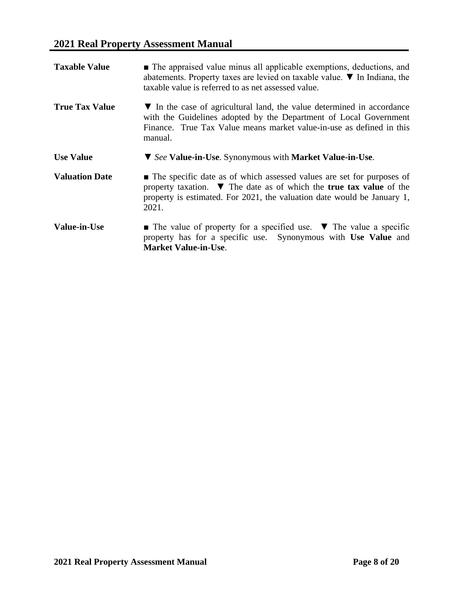| <b>Taxable Value</b>  | • The appraised value minus all applicable exemptions, deductions, and<br>abatements. Property taxes are levied on taxable value. $\nabla$ In Indiana, the<br>taxable value is referred to as net assessed value.                                     |
|-----------------------|-------------------------------------------------------------------------------------------------------------------------------------------------------------------------------------------------------------------------------------------------------|
| <b>True Tax Value</b> | ▼ In the case of agricultural land, the value determined in accordance<br>with the Guidelines adopted by the Department of Local Government<br>Finance. True Tax Value means market value-in-use as defined in this<br>manual.                        |
| <b>Use Value</b>      | ▼ See Value-in-Use. Synonymous with Market Value-in-Use.                                                                                                                                                                                              |
| <b>Valuation Date</b> | • The specific date as of which assessed values are set for purposes of<br>property taxation. $\blacktriangledown$ The date as of which the true tax value of the<br>property is estimated. For 2021, the valuation date would be January 1,<br>2021. |
| <b>Value-in-Use</b>   | $\blacksquare$ The value of property for a specified use. $\blacktriangledown$ The value a specific<br>property has for a specific use. Synonymous with Use Value and<br><b>Market Value-in-Use.</b>                                                  |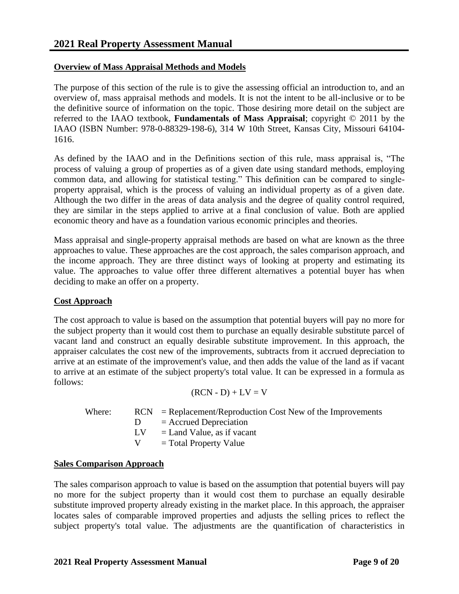#### <span id="page-8-0"></span>**Overview of Mass Appraisal Methods and Models**

The purpose of this section of the rule is to give the assessing official an introduction to, and an overview of, mass appraisal methods and models. It is not the intent to be all-inclusive or to be the definitive source of information on the topic. Those desiring more detail on the subject are referred to the IAAO textbook, **Fundamentals of Mass Appraisal**; copyright © 2011 by the IAAO (ISBN Number: 978-0-88329-198-6), 314 W 10th Street, Kansas City, Missouri 64104- 1616.

As defined by the IAAO and in the Definitions section of this rule, mass appraisal is, "The process of valuing a group of properties as of a given date using standard methods, employing common data, and allowing for statistical testing." This definition can be compared to singleproperty appraisal, which is the process of valuing an individual property as of a given date. Although the two differ in the areas of data analysis and the degree of quality control required, they are similar in the steps applied to arrive at a final conclusion of value. Both are applied economic theory and have as a foundation various economic principles and theories.

Mass appraisal and single-property appraisal methods are based on what are known as the three approaches to value. These approaches are the cost approach, the sales comparison approach, and the income approach. They are three distinct ways of looking at property and estimating its value. The approaches to value offer three different alternatives a potential buyer has when deciding to make an offer on a property.

#### **Cost Approach**

The cost approach to value is based on the assumption that potential buyers will pay no more for the subject property than it would cost them to purchase an equally desirable substitute parcel of vacant land and construct an equally desirable substitute improvement. In this approach, the appraiser calculates the cost new of the improvements, subtracts from it accrued depreciation to arrive at an estimate of the improvement's value, and then adds the value of the land as if vacant to arrive at an estimate of the subject property's total value. It can be expressed in a formula as follows:

$$
(RCN - D) + LV = V
$$

| Where: |     | $RCN = Replacement/Reproduction Cost New of the Improvements$ |
|--------|-----|---------------------------------------------------------------|
|        |     | $=$ Accrued Depreciation                                      |
|        | LV. | $=$ Land Value, as if vacant                                  |
|        |     | $=$ Total Property Value                                      |
|        |     |                                                               |

#### **Sales Comparison Approach**

The sales comparison approach to value is based on the assumption that potential buyers will pay no more for the subject property than it would cost them to purchase an equally desirable substitute improved property already existing in the market place. In this approach, the appraiser locates sales of comparable improved properties and adjusts the selling prices to reflect the subject property's total value. The adjustments are the quantification of characteristics in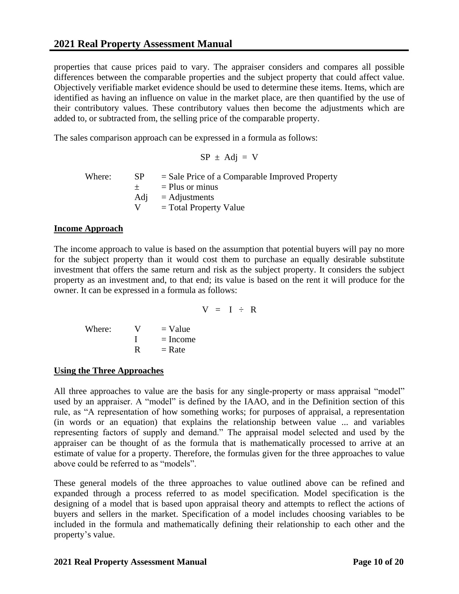<span id="page-9-0"></span>properties that cause prices paid to vary. The appraiser considers and compares all possible differences between the comparable properties and the subject property that could affect value. Objectively verifiable market evidence should be used to determine these items. Items, which are identified as having an influence on value in the market place, are then quantified by the use of their contributory values. These contributory values then become the adjustments which are added to, or subtracted from, the selling price of the comparable property.

The sales comparison approach can be expressed in a formula as follows:

$$
SP \pm Adj = V
$$

Where:  $SP = Sale Price of a Compared Property$  $\pm$  = Plus or minus  $\text{Adj} = \text{Adjustments}$  $V = Total Property Value$ 

#### **Income Approach**

The income approach to value is based on the assumption that potential buyers will pay no more for the subject property than it would cost them to purchase an equally desirable substitute investment that offers the same return and risk as the subject property. It considers the subject property as an investment and, to that end; its value is based on the rent it will produce for the owner. It can be expressed in a formula as follows:

 $V = I \div R$ 

Where:  $V = Value$  $I = Income$  $R = Rate$ 

#### **Using the Three Approaches**

All three approaches to value are the basis for any single-property or mass appraisal "model" used by an appraiser. A "model" is defined by the IAAO, and in the Definition section of this rule, as "A representation of how something works; for purposes of appraisal, a representation (in words or an equation) that explains the relationship between value ... and variables representing factors of supply and demand." The appraisal model selected and used by the appraiser can be thought of as the formula that is mathematically processed to arrive at an estimate of value for a property. Therefore, the formulas given for the three approaches to value above could be referred to as "models".

These general models of the three approaches to value outlined above can be refined and expanded through a process referred to as model specification. Model specification is the designing of a model that is based upon appraisal theory and attempts to reflect the actions of buyers and sellers in the market. Specification of a model includes choosing variables to be included in the formula and mathematically defining their relationship to each other and the property's value.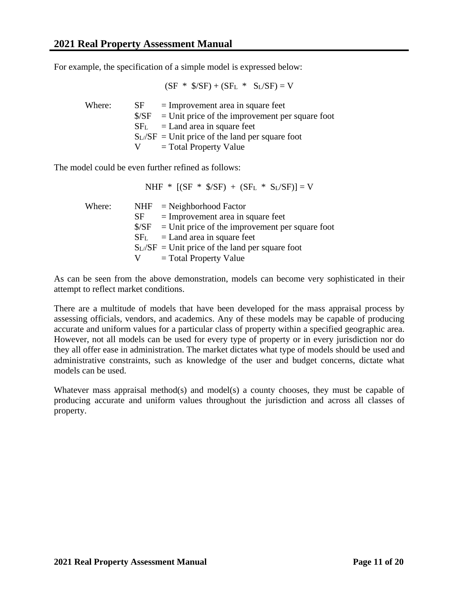For example, the specification of a simple model is expressed below:

$$
(SF * $/SF) + (SFL * SL/SF) = V
$$

| Where: | SF. | $=$ Improvement area in square feet<br>$\frac{1}{2}$ S/SF = Unit price of the improvement per square foot<br>$SF_L$ = Land area in square feet<br>$S_L/SF$ = Unit price of the land per square foot |
|--------|-----|-----------------------------------------------------------------------------------------------------------------------------------------------------------------------------------------------------|
|        |     | $=$ Total Property Value                                                                                                                                                                            |

The model could be even further refined as follows:

NHF \*  $[(SF * $/SF) + (SF_L * S_L/SF)] = V$ 

| Where: | NHF             | $=$ Neighborhood Factor                           |
|--------|-----------------|---------------------------------------------------|
|        | SF              | $=$ Improvement area in square feet               |
|        | S/SF            | $=$ Unit price of the improvement per square foot |
|        | SF <sub>L</sub> | $=$ Land area in square feet                      |
|        |                 | $S_L/SF$ = Unit price of the land per square foot |
|        |                 | $=$ Total Property Value                          |

As can be seen from the above demonstration, models can become very sophisticated in their attempt to reflect market conditions.

There are a multitude of models that have been developed for the mass appraisal process by assessing officials, vendors, and academics. Any of these models may be capable of producing accurate and uniform values for a particular class of property within a specified geographic area. However, not all models can be used for every type of property or in every jurisdiction nor do they all offer ease in administration. The market dictates what type of models should be used and administrative constraints, such as knowledge of the user and budget concerns, dictate what models can be used.

Whatever mass appraisal method(s) and model(s) a county chooses, they must be capable of producing accurate and uniform values throughout the jurisdiction and across all classes of property.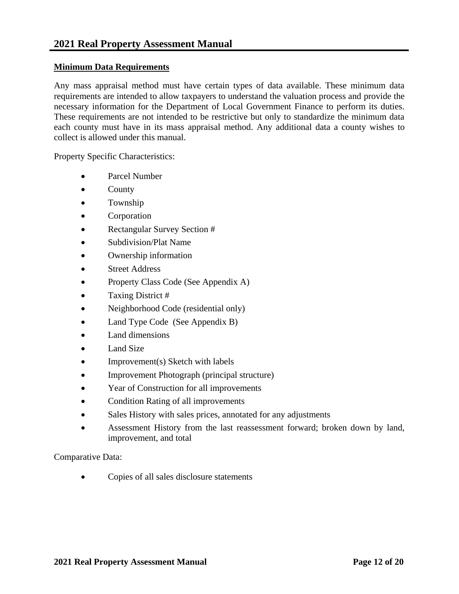#### **Minimum Data Requirements**

Any mass appraisal method must have certain types of data available. These minimum data requirements are intended to allow taxpayers to understand the valuation process and provide the necessary information for the Department of Local Government Finance to perform its duties. These requirements are not intended to be restrictive but only to standardize the minimum data each county must have in its mass appraisal method. Any additional data a county wishes to collect is allowed under this manual.

Property Specific Characteristics:

- Parcel Number
- County
- Township
- Corporation
- Rectangular Survey Section #
- Subdivision/Plat Name
- Ownership information
- Street Address
- Property Class Code (See Appendix A)
- Taxing District #
- Neighborhood Code (residential only)
- Land Type Code (See Appendix B)
- Land dimensions
- Land Size
- $\bullet$  Improvement(s) Sketch with labels
- Improvement Photograph (principal structure)
- Year of Construction for all improvements
- Condition Rating of all improvements
- Sales History with sales prices, annotated for any adjustments
- Assessment History from the last reassessment forward; broken down by land, improvement, and total

Comparative Data:

Copies of all sales disclosure statements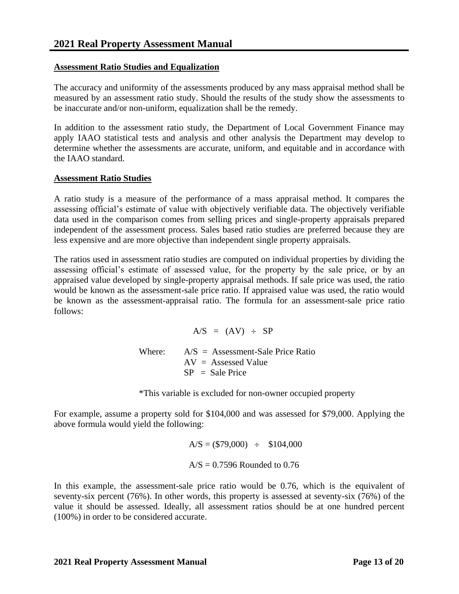#### <span id="page-12-0"></span>**Assessment Ratio Studies and Equalization**

The accuracy and uniformity of the assessments produced by any mass appraisal method shall be measured by an assessment ratio study. Should the results of the study show the assessments to be inaccurate and/or non-uniform, equalization shall be the remedy.

In addition to the assessment ratio study, the Department of Local Government Finance may apply IAAO statistical tests and analysis and other analysis the Department may develop to determine whether the assessments are accurate, uniform, and equitable and in accordance with the IAAO standard.

#### **Assessment Ratio Studies**

A ratio study is a measure of the performance of a mass appraisal method. It compares the assessing official's estimate of value with objectively verifiable data. The objectively verifiable data used in the comparison comes from selling prices and single-property appraisals prepared independent of the assessment process. Sales based ratio studies are preferred because they are less expensive and are more objective than independent single property appraisals.

The ratios used in assessment ratio studies are computed on individual properties by dividing the assessing official's estimate of assessed value, for the property by the sale price, or by an appraised value developed by single-property appraisal methods. If sale price was used, the ratio would be known as the assessment-sale price ratio. If appraised value was used, the ratio would be known as the assessment-appraisal ratio. The formula for an assessment-sale price ratio follows:

> $A/S = (AV) \div SP$ Where:  $A/S =$  Assessment-Sale Price Ratio  $AV =$  Assessed Value  $SP = Sale Price$

\*This variable is excluded for non-owner occupied property

For example, assume a property sold for \$104,000 and was assessed for \$79,000. Applying the above formula would yield the following:

> $A/S = ($79,000) \div $104,000$  $A/S = 0.7596$  Rounded to 0.76

In this example, the assessment-sale price ratio would be 0.76, which is the equivalent of seventy-six percent (76%). In other words, this property is assessed at seventy-six (76%) of the value it should be assessed. Ideally, all assessment ratios should be at one hundred percent (100%) in order to be considered accurate.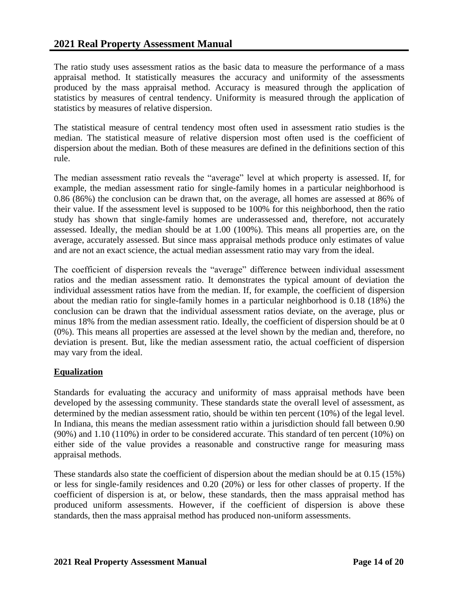<span id="page-13-0"></span>The ratio study uses assessment ratios as the basic data to measure the performance of a mass appraisal method. It statistically measures the accuracy and uniformity of the assessments produced by the mass appraisal method. Accuracy is measured through the application of statistics by measures of central tendency. Uniformity is measured through the application of statistics by measures of relative dispersion.

The statistical measure of central tendency most often used in assessment ratio studies is the median. The statistical measure of relative dispersion most often used is the coefficient of dispersion about the median. Both of these measures are defined in the definitions section of this rule.

The median assessment ratio reveals the "average" level at which property is assessed. If, for example, the median assessment ratio for single-family homes in a particular neighborhood is 0.86 (86%) the conclusion can be drawn that, on the average, all homes are assessed at 86% of their value. If the assessment level is supposed to be 100% for this neighborhood, then the ratio study has shown that single-family homes are underassessed and, therefore, not accurately assessed. Ideally, the median should be at 1.00 (100%). This means all properties are, on the average, accurately assessed. But since mass appraisal methods produce only estimates of value and are not an exact science, the actual median assessment ratio may vary from the ideal.

The coefficient of dispersion reveals the "average" difference between individual assessment ratios and the median assessment ratio. It demonstrates the typical amount of deviation the individual assessment ratios have from the median. If, for example, the coefficient of dispersion about the median ratio for single-family homes in a particular neighborhood is 0.18 (18%) the conclusion can be drawn that the individual assessment ratios deviate, on the average, plus or minus 18% from the median assessment ratio. Ideally, the coefficient of dispersion should be at 0 (0%). This means all properties are assessed at the level shown by the median and, therefore, no deviation is present. But, like the median assessment ratio, the actual coefficient of dispersion may vary from the ideal.

#### **Equalization**

Standards for evaluating the accuracy and uniformity of mass appraisal methods have been developed by the assessing community. These standards state the overall level of assessment, as determined by the median assessment ratio, should be within ten percent (10%) of the legal level. In Indiana, this means the median assessment ratio within a jurisdiction should fall between 0.90 (90%) and 1.10 (110%) in order to be considered accurate. This standard of ten percent (10%) on either side of the value provides a reasonable and constructive range for measuring mass appraisal methods.

These standards also state the coefficient of dispersion about the median should be at 0.15 (15%) or less for single-family residences and 0.20 (20%) or less for other classes of property. If the coefficient of dispersion is at, or below, these standards, then the mass appraisal method has produced uniform assessments. However, if the coefficient of dispersion is above these standards, then the mass appraisal method has produced non-uniform assessments.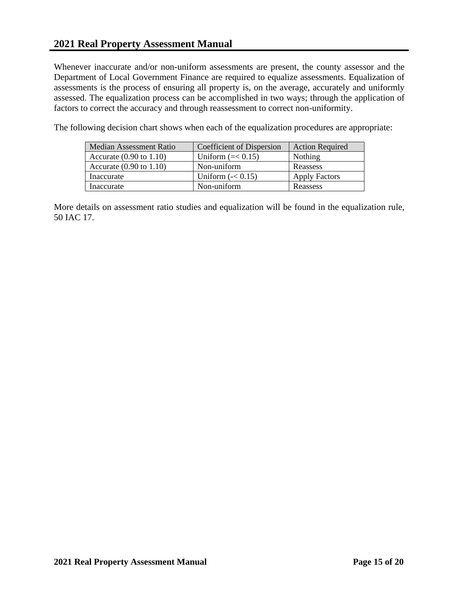Whenever inaccurate and/or non-uniform assessments are present, the county assessor and the Department of Local Government Finance are required to equalize assessments. Equalization of assessments is the process of ensuring all property is, on the average, accurately and uniformly assessed. The equalization process can be accomplished in two ways; through the application of factors to correct the accuracy and through reassessment to correct non-uniformity.

The following decision chart shows when each of the equalization procedures are appropriate:

| Median Assessment Ratio            | Coefficient of Dispersion        | <b>Action Required</b> |
|------------------------------------|----------------------------------|------------------------|
| Accurate $(0.90 \text{ to } 1.10)$ | Uniform $(\approx 0.15)$         | Nothing                |
| Accurate $(0.90 \text{ to } 1.10)$ | Non-uniform                      | Reassess               |
| Inaccurate                         | Uniform $\left( -< 0.15 \right)$ | <b>Apply Factors</b>   |
| Inaccurate                         | Non-uniform                      | Reassess               |

More details on assessment ratio studies and equalization will be found in the equalization rule, 50 IAC 17.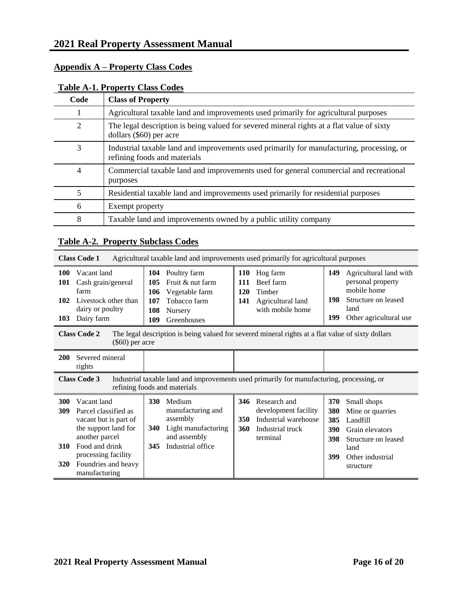|                | Lable A-1, I Toperty Class Coults                                                                                         |
|----------------|---------------------------------------------------------------------------------------------------------------------------|
| Code           | <b>Class of Property</b>                                                                                                  |
|                | Agricultural taxable land and improvements used primarily for agricultural purposes                                       |
| $\overline{2}$ | The legal description is being valued for severed mineral rights at a flat value of sixty<br>dollars (\$60) per acre      |
| 3              | Industrial taxable land and improvements used primarily for manufacturing, processing, or<br>refining foods and materials |
| 4              | Commercial taxable land and improvements used for general commercial and recreational<br>purposes                         |
| 5              | Residential taxable land and improvements used primarily for residential purposes                                         |
| 6              | Exempt property                                                                                                           |
| 8              | Taxable land and improvements owned by a public utility company                                                           |

# <span id="page-15-0"></span>**Appendix A – Property Class Codes [Table A-1. Property Class Codes](#page-0-0)**

### **Table A-2. Property Subclass Codes**

|                                 | Agricultural taxable land and improvements used primarily for agricultural purposes<br><b>Class Code 1</b>                 |                                                                                                                                                                                                                                                                                                                                                                   |                                                                                                                                          |  |  |  |
|---------------------------------|----------------------------------------------------------------------------------------------------------------------------|-------------------------------------------------------------------------------------------------------------------------------------------------------------------------------------------------------------------------------------------------------------------------------------------------------------------------------------------------------------------|------------------------------------------------------------------------------------------------------------------------------------------|--|--|--|
| <b>100</b><br>101<br>102<br>103 | Vacant land<br>Cash grain/general<br>farm<br>Livestock other than<br>dairy or poultry<br>Dairy farm<br><b>Class Code 2</b> | 104<br>Poultry farm<br>Hog farm<br><b>110</b><br>Fruit & nut farm<br>Beef farm<br>105<br><b>111</b><br>Timber<br>106<br>Vegetable farm<br>120<br>107<br>Tobacco farm<br>Agricultural land<br>141<br>with mobile home<br>108<br>Nursery<br>109<br>Greenhouses<br>The legal description is being valued for severed mineral rights at a flat value of sixty dollars | Agricultural land with<br>149<br>personal property<br>mobile home<br>198<br>Structure on leased<br>land<br>199<br>Other agricultural use |  |  |  |
|                                 | $(\$60)$ per acre                                                                                                          |                                                                                                                                                                                                                                                                                                                                                                   |                                                                                                                                          |  |  |  |
| 200                             | Severed mineral<br>rights                                                                                                  |                                                                                                                                                                                                                                                                                                                                                                   |                                                                                                                                          |  |  |  |
|                                 | <b>Class Code 3</b>                                                                                                        | Industrial taxable land and improvements used primarily for manufacturing, processing, or<br>refining foods and materials                                                                                                                                                                                                                                         |                                                                                                                                          |  |  |  |
| 300<br>309                      | Vacant land<br>Parcel classified as<br>vacant but is part of<br>the support land for<br>another parcel                     | 330<br>Medium<br>Research and<br>346<br>development facility<br>manufacturing and<br>assembly<br>Industrial warehouse<br>350<br>Light manufacturing<br><b>340</b><br>Industrial truck<br>360<br>and assembly<br>terminal                                                                                                                                          | 370<br>Small shops<br>380<br>Mine or quarries<br>385<br>Landfill<br>390<br>Grain elevators<br>398<br>Structure on leased                 |  |  |  |
| 310<br><b>320</b>               | Food and drink<br>processing facility<br>Foundries and heavy<br>manufacturing                                              | Industrial office<br>345                                                                                                                                                                                                                                                                                                                                          | land<br>399<br>Other industrial<br>structure                                                                                             |  |  |  |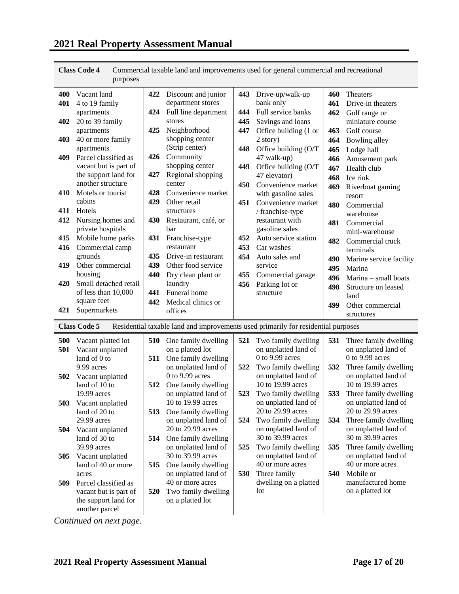|     | purposes                               |     |                                                                                   |     |                                           |     |                                           |
|-----|----------------------------------------|-----|-----------------------------------------------------------------------------------|-----|-------------------------------------------|-----|-------------------------------------------|
| 400 | Vacant land                            | 422 | Discount and junior                                                               |     | 443 Drive-up/walk-up                      | 460 | Theaters                                  |
| 401 | 4 to 19 family                         |     | department stores                                                                 |     | bank only                                 | 461 | Drive-in theaters                         |
|     | apartments                             | 424 | Full line department                                                              | 444 | Full service banks                        | 462 | Golf range or                             |
| 402 | 20 to 39 family                        |     | stores                                                                            | 445 | Savings and loans                         |     | miniature course                          |
|     | apartments                             | 425 | Neighborhood                                                                      | 447 | Office building (1 or                     | 463 | Golf course                               |
| 403 | 40 or more family                      |     | shopping center                                                                   |     | 2 story)                                  | 464 | Bowling alley                             |
|     | apartments                             |     | (Strip center)                                                                    | 448 | Office building (O/T                      | 465 | Lodge hall                                |
| 409 | Parcel classified as                   | 426 | Community                                                                         |     | 47 walk-up)                               | 466 | Amusement park                            |
|     | vacant but is part of                  |     | shopping center                                                                   | 449 | Office building (O/T                      | 467 | Health club                               |
|     | the support land for                   | 427 | Regional shopping                                                                 |     | 47 elevator)                              | 468 | Ice rink                                  |
|     | another structure                      |     | center                                                                            | 450 | Convenience market                        | 469 | Riverboat gaming                          |
| 410 | Motels or tourist                      | 428 | Convenience market                                                                |     | with gasoline sales                       |     | resort                                    |
|     | cabins                                 | 429 | Other retail                                                                      | 451 | Convenience market                        | 480 | Commercial                                |
| 411 | Hotels                                 |     | structures                                                                        |     | / franchise-type                          |     | warehouse                                 |
| 412 | Nursing homes and                      | 430 | Restaurant, café, or                                                              |     | restaurant with                           | 481 | Commercial                                |
|     | private hospitals                      |     | bar                                                                               |     | gasoline sales                            |     | mini-warehouse                            |
| 415 | Mobile home parks                      | 431 | Franchise-type                                                                    | 452 | Auto service station                      | 482 | Commercial truck                          |
| 416 | Commercial camp                        |     | restaurant                                                                        | 453 | Car washes                                |     | terminals                                 |
|     | grounds                                | 435 | Drive-in restaurant                                                               | 454 | Auto sales and                            | 490 | Marine service facility                   |
| 419 | Other commercial                       | 439 | Other food service                                                                |     | service                                   | 495 | Marina                                    |
|     | housing                                | 440 | Dry clean plant or                                                                | 455 | Commercial garage                         | 496 | Marina - small boats                      |
| 420 | Small detached retail                  |     | laundry                                                                           | 456 | Parking lot or                            | 498 | Structure on leased                       |
|     | of less than 10,000<br>square feet     | 441 | Funeral home                                                                      |     | structure                                 |     | land                                      |
| 421 | Supermarkets                           | 442 | Medical clinics or<br>offices                                                     |     |                                           | 499 | Other commercial                          |
|     |                                        |     |                                                                                   |     |                                           |     | structures                                |
|     | <b>Class Code 5</b>                    |     | Residential taxable land and improvements used primarily for residential purposes |     |                                           |     |                                           |
| 500 | Vacant platted lot                     | 510 | One family dwelling                                                               | 521 | Two family dwelling                       | 531 | Three family dwelling                     |
| 501 | Vacant unplatted                       |     | on a platted lot                                                                  |     | on unplatted land of                      |     | on unplatted land of                      |
|     | land of 0 to                           | 511 | One family dwelling                                                               |     | $0$ to 9.99 acres                         |     | $0$ to 9.99 acres                         |
|     | 9.99 acres                             |     | on unplatted land of                                                              | 522 | Two family dwelling                       | 532 | Three family dwelling                     |
| 502 | Vacant unplatted                       |     | $0$ to 9.99 acres                                                                 |     | on unplatted land of                      |     | on unplatted land of                      |
|     | land of 10 to                          | 512 | One family dwelling                                                               |     | 10 to 19.99 acres                         |     | 10 to 19.99 acres                         |
|     | 19.99 acres                            |     | on unplatted land of                                                              | 523 | Two family dwelling                       | 533 | Three family dwelling                     |
| 503 | Vacant unplatted                       |     | 10 to 19.99 acres                                                                 |     | on unplatted land of                      |     | on unplatted land of                      |
|     | land of 20 to                          | 513 | One family dwelling                                                               |     | 20 to 29.99 acres                         |     | 20 to 29.99 acres                         |
|     | 29.99 acres                            |     | on unplatted land of<br>20 to 29.99 acres                                         | 524 | Two family dwelling                       | 534 | Three family dwelling                     |
| 504 | Vacant unplatted                       |     |                                                                                   |     | on unplatted land of<br>30 to 39.99 acres |     | on unplatted land of<br>30 to 39.99 acres |
|     | land of 30 to<br>39.99 acres           | 514 | One family dwelling<br>on unplatted land of                                       |     | Two family dwelling                       | 535 | Three family dwelling                     |
| 505 |                                        |     | 30 to 39.99 acres                                                                 | 525 | on unplatted land of                      |     | on unplatted land of                      |
|     | Vacant unplatted<br>land of 40 or more | 515 | One family dwelling                                                               |     | 40 or more acres                          |     | 40 or more acres                          |
|     | acres                                  |     | on unplatted land of                                                              | 530 | Three family                              | 540 | Mobile or                                 |
| 509 | Parcel classified as                   |     | 40 or more acres                                                                  |     | dwelling on a platted                     |     | manufactured home                         |
|     | vacant but is part of                  | 520 | Two family dwelling                                                               |     | lot                                       |     | on a platted lot                          |
|     | the support land for                   |     | on a platted lot                                                                  |     |                                           |     |                                           |
|     | another parcel                         |     |                                                                                   |     |                                           |     |                                           |

**Class Code 4** Commercial taxable land and improvements used for general commercial and recreational

*Continued on next page.*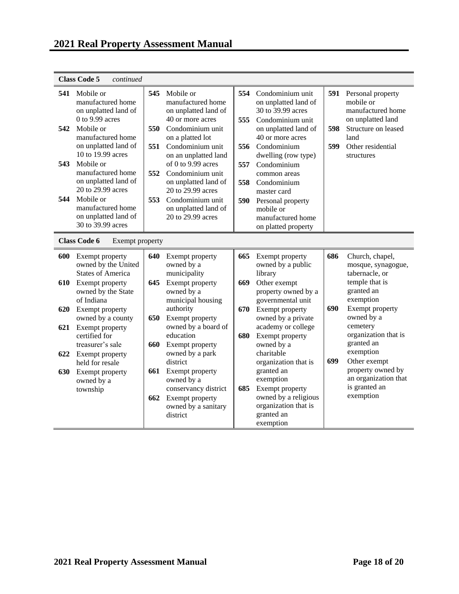|                          | <b>Class Code 5</b><br>continued                                                                                                                                                                                                                                                                                         |                                 |                                                                                                                                                                                                                                                                                                                        |                                        |                                                                                                                                                                                                                                                                                                                |                   |                                                                                                                                                                                         |
|--------------------------|--------------------------------------------------------------------------------------------------------------------------------------------------------------------------------------------------------------------------------------------------------------------------------------------------------------------------|---------------------------------|------------------------------------------------------------------------------------------------------------------------------------------------------------------------------------------------------------------------------------------------------------------------------------------------------------------------|----------------------------------------|----------------------------------------------------------------------------------------------------------------------------------------------------------------------------------------------------------------------------------------------------------------------------------------------------------------|-------------------|-----------------------------------------------------------------------------------------------------------------------------------------------------------------------------------------|
| 541<br>542<br>543<br>544 | Mobile or<br>manufactured home<br>on unplatted land of<br>$0$ to 9.99 acres<br>Mobile or<br>manufactured home<br>on unplatted land of<br>10 to 19.99 acres<br>Mobile or<br>manufactured home<br>on unplatted land of<br>20 to 29.99 acres<br>Mobile or<br>manufactured home<br>on unplatted land of<br>30 to 39.99 acres | 545<br>550<br>551<br>552<br>553 | Mobile or<br>manufactured home<br>on unplatted land of<br>40 or more acres<br>Condominium unit<br>on a platted lot<br>Condominium unit<br>on an unplatted land<br>of 0 to 9.99 acres<br>Condominium unit<br>on unplatted land of<br>20 to 29.99 acres<br>Condominium unit<br>on unplatted land of<br>20 to 29.99 acres | 554<br>555<br>556<br>557<br>558<br>590 | Condominium unit<br>on unplatted land of<br>30 to 39.99 acres<br>Condominium unit<br>on unplatted land of<br>40 or more acres<br>Condominium<br>dwelling (row type)<br>Condominium<br>common areas<br>Condominium<br>master card<br>Personal property<br>mobile or<br>manufactured home<br>on platted property | 591<br>598<br>599 | Personal property<br>mobile or<br>manufactured home<br>on unplatted land<br>Structure on leased<br>land<br>Other residential<br>structures                                              |
|                          | <b>Class Code 6</b><br>Exempt property                                                                                                                                                                                                                                                                                   |                                 |                                                                                                                                                                                                                                                                                                                        |                                        |                                                                                                                                                                                                                                                                                                                |                   |                                                                                                                                                                                         |
| 600<br>610               | Exempt property<br>owned by the United<br><b>States of America</b><br>Exempt property<br>owned by the State<br>of Indiana                                                                                                                                                                                                | 640<br>645                      | Exempt property<br>owned by a<br>municipality<br>Exempt property<br>owned by a<br>municipal housing                                                                                                                                                                                                                    | 665<br>669                             | Exempt property<br>owned by a public<br>library<br>Other exempt<br>property owned by a<br>governmental unit                                                                                                                                                                                                    | 686<br>690        | Church, chapel,<br>mosque, synagogue,<br>tabernacle, or<br>temple that is<br>granted an<br>exemption                                                                                    |
| 620<br>621<br>622<br>630 | Exempt property<br>owned by a county<br>Exempt property<br>certified for<br>treasurer's sale<br>Exempt property<br>held for resale<br>Exempt property<br>owned by a<br>township                                                                                                                                          | 650<br>660<br>661<br>662        | authority<br>Exempt property<br>owned by a board of<br>education<br>Exempt property<br>owned by a park<br>district<br>Exempt property<br>owned by a<br>conservancy district<br>Exempt property<br>owned by a sanitary                                                                                                  | 670<br>680<br>685                      | Exempt property<br>owned by a private<br>academy or college<br>Exempt property<br>owned by a<br>charitable<br>organization that is<br>granted an<br>exemption<br>Exempt property<br>owned by a religious<br>organization that is                                                                               | 699               | Exempt property<br>owned by a<br>cemetery<br>organization that is<br>granted an<br>exemption<br>Other exempt<br>property owned by<br>an organization that<br>is granted an<br>exemption |
|                          |                                                                                                                                                                                                                                                                                                                          |                                 | district                                                                                                                                                                                                                                                                                                               |                                        | granted an<br>exemption                                                                                                                                                                                                                                                                                        |                   |                                                                                                                                                                                         |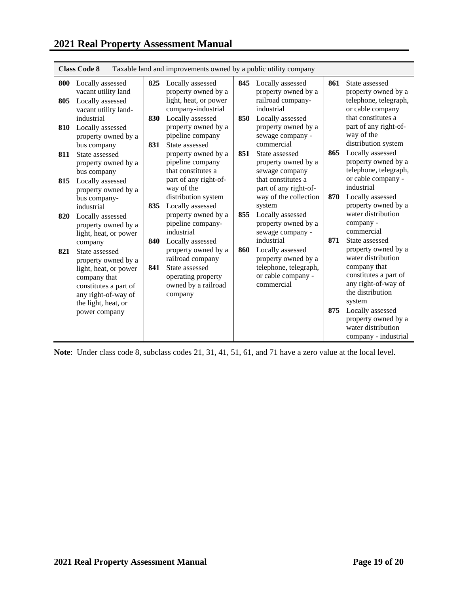| <b>Class Code 8</b><br>Taxable land and improvements owned by a public utility company |                                                                                                                                           |            |                                                                                                                                       |     |                                                                                                                    |     |                                                                                                                                                           |  |  |  |
|----------------------------------------------------------------------------------------|-------------------------------------------------------------------------------------------------------------------------------------------|------------|---------------------------------------------------------------------------------------------------------------------------------------|-----|--------------------------------------------------------------------------------------------------------------------|-----|-----------------------------------------------------------------------------------------------------------------------------------------------------------|--|--|--|
| 800<br>805                                                                             | Locally assessed<br>vacant utility land<br>Locally assessed<br>vacant utility land-                                                       | 825        | Locally assessed<br>property owned by a<br>light, heat, or power<br>company-industrial                                                |     | 845 Locally assessed<br>property owned by a<br>railroad company-<br>industrial                                     | 861 | State assessed<br>property owned by a<br>telephone, telegraph,<br>or cable company                                                                        |  |  |  |
| 810                                                                                    | industrial<br>Locally assessed<br>property owned by a<br>bus company                                                                      | 830<br>831 | Locally assessed<br>property owned by a<br>pipeline company<br>State assessed                                                         | 850 | Locally assessed<br>property owned by a<br>sewage company -<br>commercial                                          |     | that constitutes a<br>part of any right-of-<br>way of the<br>distribution system                                                                          |  |  |  |
| 811                                                                                    | State assessed<br>property owned by a<br>bus company                                                                                      |            | property owned by a<br>pipeline company<br>that constitutes a                                                                         | 851 | State assessed<br>property owned by a<br>sewage company                                                            | 865 | Locally assessed<br>property owned by a<br>telephone, telegraph,<br>or cable company -                                                                    |  |  |  |
| 815                                                                                    | Locally assessed<br>property owned by a<br>bus company-<br>industrial                                                                     | 835        | part of any right-of-<br>way of the<br>distribution system<br>Locally assessed                                                        |     | that constitutes a<br>part of any right-of-<br>way of the collection<br>system                                     | 870 | industrial<br>Locally assessed<br>property owned by a                                                                                                     |  |  |  |
| 820                                                                                    | Locally assessed<br>property owned by a<br>light, heat, or power                                                                          |            | property owned by a<br>pipeline company-<br>industrial                                                                                | 855 | Locally assessed<br>property owned by a<br>sewage company -                                                        |     | water distribution<br>company -<br>commercial                                                                                                             |  |  |  |
| 821                                                                                    | company<br>State assessed<br>property owned by a<br>light, heat, or power<br>company that<br>constitutes a part of<br>any right-of-way of | 840<br>841 | Locally assessed<br>property owned by a<br>railroad company<br>State assessed<br>operating property<br>owned by a railroad<br>company | 860 | industrial<br>Locally assessed<br>property owned by a<br>telephone, telegraph,<br>or cable company -<br>commercial | 871 | State assessed<br>property owned by a<br>water distribution<br>company that<br>constitutes a part of<br>any right-of-way of<br>the distribution<br>system |  |  |  |
|                                                                                        | the light, heat, or<br>power company                                                                                                      |            |                                                                                                                                       |     |                                                                                                                    | 875 | Locally assessed<br>property owned by a<br>water distribution<br>company - industrial                                                                     |  |  |  |

**Class Code 8** Taxable land and improvements owned by a public utility company

**Note**: Under class code 8, subclass codes 21, 31, 41, 51, 61, and 71 have a zero value at the local level.